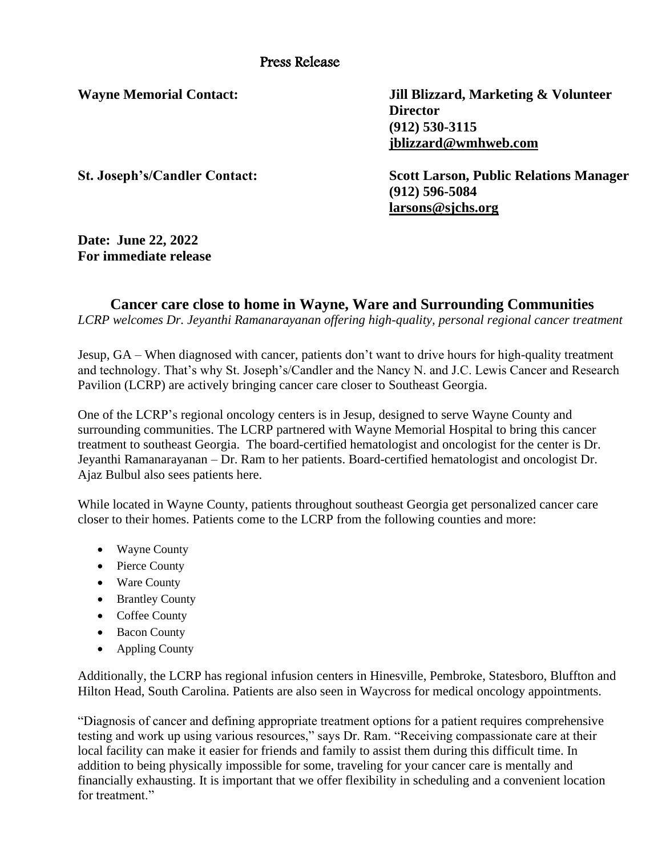**Wayne Memorial Contact: Jill Blizzard, Marketing & Volunteer Director (912) 530-3115 [jblizzard@wmhweb.com](mailto:jblizzard@wmhweb.com)**

**St. Joseph's/Candler Contact: Scott Larson, Public Relations Manager (912) 596-5084 larsons@sjchs.org**

**Date: June 22, 2022 For immediate release**

## **Cancer care close to home in Wayne, Ware and Surrounding Communities**

*LCRP welcomes Dr. Jeyanthi Ramanarayanan offering high-quality, personal regional cancer treatment*

Jesup, GA – When diagnosed with cancer, patients don't want to drive hours for high-quality treatment and technology. That's why St. Joseph's/Candler and the Nancy N. and J.C. Lewis Cancer and Research Pavilion (LCRP) are actively bringing cancer care closer to Southeast Georgia.

One of the LCRP's regional oncology centers is in Jesup, designed to serve Wayne County and surrounding communities. The LCRP partnered with Wayne Memorial Hospital to bring this cancer treatment to southeast Georgia. The board-certified hematologist and oncologist for the center is Dr. Jeyanthi Ramanarayanan – Dr. Ram to her patients. Board-certified hematologist and oncologist Dr. Ajaz Bulbul also sees patients here.

While located in Wayne County, patients throughout southeast Georgia get personalized cancer care closer to their homes. Patients come to the LCRP from the following counties and more:

- Wayne County
- Pierce County
- Ware County
- Brantley County
- Coffee County
- Bacon County
- Appling County

Additionally, the LCRP has regional infusion centers in Hinesville, Pembroke, Statesboro, Bluffton and Hilton Head, South Carolina. Patients are also seen in Waycross for medical oncology appointments.

"Diagnosis of cancer and defining appropriate treatment options for a patient requires comprehensive testing and work up using various resources," says Dr. Ram. "Receiving compassionate care at their local facility can make it easier for friends and family to assist them during this difficult time. In addition to being physically impossible for some, traveling for your cancer care is mentally and financially exhausting. It is important that we offer flexibility in scheduling and a convenient location for treatment."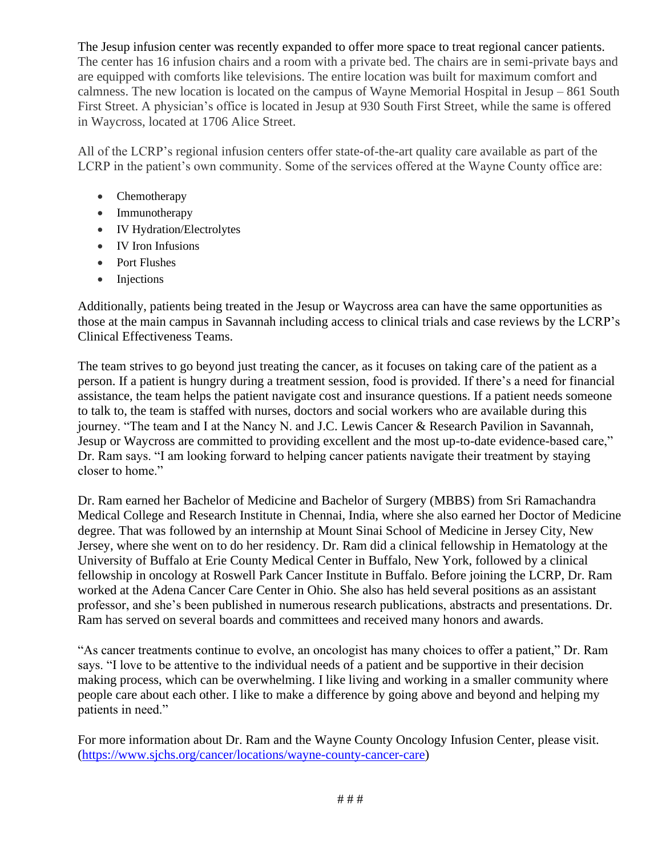The Jesup infusion center was recently expanded to offer more space to treat regional cancer patients. The center has 16 infusion chairs and a room with a private bed. The chairs are in semi-private bays and are equipped with comforts like televisions. The entire location was built for maximum comfort and calmness. The new location is located on the campus of Wayne Memorial Hospital in Jesup – 861 South First Street. A physician's office is located in Jesup at 930 South First Street, while the same is offered in Waycross, located at 1706 Alice Street.

All of the LCRP's regional infusion centers offer state-of-the-art quality care available as part of the LCRP in the patient's own community. Some of the services offered at the Wayne County office are:

- Chemotherapy
- Immunotherapy
- IV Hydration/Electrolytes
- IV Iron Infusions
- Port Flushes
- Injections

Additionally, patients being treated in the Jesup or Waycross area can have the same opportunities as those at the main campus in Savannah including access to clinical trials and case reviews by the LCRP's Clinical Effectiveness Teams.

The team strives to go beyond just treating the cancer, as it focuses on taking care of the patient as a person. If a patient is hungry during a treatment session, food is provided. If there's a need for financial assistance, the team helps the patient navigate cost and insurance questions. If a patient needs someone to talk to, the team is staffed with nurses, doctors and social workers who are available during this journey. "The team and I at the Nancy N. and J.C. Lewis Cancer & Research Pavilion in Savannah, Jesup or Waycross are committed to providing excellent and the most up-to-date evidence-based care," Dr. Ram says. "I am looking forward to helping cancer patients navigate their treatment by staying closer to home."

Dr. Ram earned her Bachelor of Medicine and Bachelor of Surgery (MBBS) from Sri Ramachandra Medical College and Research Institute in Chennai, India, where she also earned her Doctor of Medicine degree. That was followed by an internship at Mount Sinai School of Medicine in Jersey City, New Jersey, where she went on to do her residency. Dr. Ram did a clinical fellowship in Hematology at the University of Buffalo at Erie County Medical Center in Buffalo, New York, followed by a clinical fellowship in oncology at Roswell Park Cancer Institute in Buffalo. Before joining the LCRP, Dr. Ram worked at the Adena Cancer Care Center in Ohio. She also has held several positions as an assistant professor, and she's been published in numerous research publications, abstracts and presentations. Dr. Ram has served on several boards and committees and received many honors and awards.

"As cancer treatments continue to evolve, an oncologist has many choices to offer a patient," Dr. Ram says. "I love to be attentive to the individual needs of a patient and be supportive in their decision making process, which can be overwhelming. I like living and working in a smaller community where people care about each other. I like to make a difference by going above and beyond and helping my patients in need."

For more information about Dr. Ram and the Wayne County Oncology Infusion Center, please visit. [\(https://www.sjchs.org/cancer/locations/wayne-county-cancer-care\)](https://www.sjchs.org/cancer/locations/wayne-county-cancer-care)